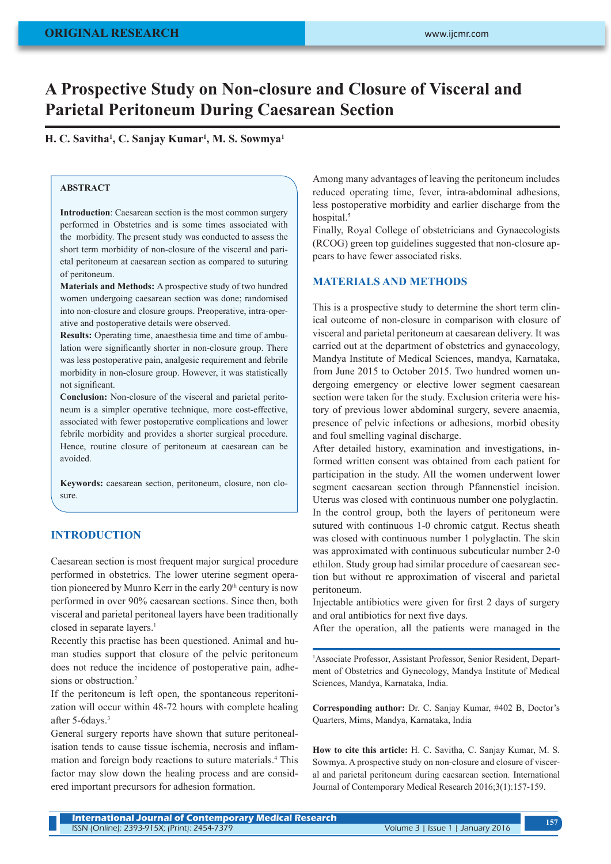# **A Prospective Study on Non-closure and Closure of Visceral and Parietal Peritoneum During Caesarean Section**

**H. C. Savitha1 , C. Sanjay Kumar1 , M. S. Sowmya1**

## **ABSTRACT**

**Introduction**: Caesarean section is the most common surgery performed in Obstetrics and is some times associated with the morbidity. The present study was conducted to assess the short term morbidity of non-closure of the visceral and parietal peritoneum at caesarean section as compared to suturing of peritoneum.

**Materials and Methods:** A prospective study of two hundred women undergoing caesarean section was done; randomised into non-closure and closure groups. Preoperative, intra-operative and postoperative details were observed.

**Results:** Operating time, anaesthesia time and time of ambulation were significantly shorter in non-closure group. There was less postoperative pain, analgesic requirement and febrile morbidity in non-closure group. However, it was statistically not significant.

**Conclusion:** Non-closure of the visceral and parietal peritoneum is a simpler operative technique, more cost-effective, associated with fewer postoperative complications and lower febrile morbidity and provides a shorter surgical procedure. Hence, routine closure of peritoneum at caesarean can be avoided.

**Keywords:** caesarean section, peritoneum, closure, non closure.

## **INTRODUCTION**

Caesarean section is most frequent major surgical procedure performed in obstetrics. The lower uterine segment operation pioneered by Munro Kerr in the early 20<sup>th</sup> century is now performed in over 90% caesarean sections. Since then, both visceral and parietal peritoneal layers have been traditionally closed in separate layers.<sup>1</sup>

Recently this practise has been questioned. Animal and human studies support that closure of the pelvic peritoneum does not reduce the incidence of postoperative pain, adhesions or obstruction.<sup>2</sup>

If the peritoneum is left open, the spontaneous reperitonization will occur within 48-72 hours with complete healing after 5-6days.<sup>3</sup>

General surgery reports have shown that suture peritonealisation tends to cause tissue ischemia, necrosis and inflammation and foreign body reactions to suture materials.4 This factor may slow down the healing process and are considered important precursors for adhesion formation.

Among many advantages of leaving the peritoneum includes reduced operating time, fever, intra-abdominal adhesions, less postoperative morbidity and earlier discharge from the hospital.<sup>5</sup>

Finally, Royal College of obstetricians and Gynaecologists (RCOG) green top guidelines suggested that non-closure appears to have fewer associated risks.

### **MATERIALS AND METHODS**

This is a prospective study to determine the short term clinical outcome of non-closure in comparison with closure of visceral and parietal peritoneum at caesarean delivery. It was carried out at the department of obstetrics and gynaecology, Mandya Institute of Medical Sciences, mandya, Karnataka, from June 2015 to October 2015. Two hundred women undergoing emergency or elective lower segment caesarean section were taken for the study. Exclusion criteria were history of previous lower abdominal surgery, severe anaemia, presence of pelvic infections or adhesions, morbid obesity and foul smelling vaginal discharge.

After detailed history, examination and investigations, informed written consent was obtained from each patient for participation in the study. All the women underwent lower segment caesarean section through Pfannenstiel incision. Uterus was closed with continuous number one polyglactin. In the control group, both the layers of peritoneum were sutured with continuous 1-0 chromic catgut. Rectus sheath was closed with continuous number 1 polyglactin. The skin was approximated with continuous subcuticular number 2-0 ethilon. Study group had similar procedure of caesarean section but without re approximation of visceral and parietal peritoneum.

Injectable antibiotics were given for first 2 days of surgery and oral antibiotics for next five days.

After the operation, all the patients were managed in the

1 Associate Professor, Assistant Professor, Senior Resident, Department of Obstetrics and Gynecology, Mandya Institute of Medical Sciences, Mandya, Karnataka, India.

**Corresponding author:** Dr. C. Sanjay Kumar, #402 B, Doctor's Quarters, Mims, Mandya, Karnataka, India

**How to cite this article:** H. C. Savitha, C. Sanjay Kumar, M. S. Sowmya. A prospective study on non-closure and closure of visceral and parietal peritoneum during caesarean section. International Journal of Contemporary Medical Research 2016;3(1):157-159.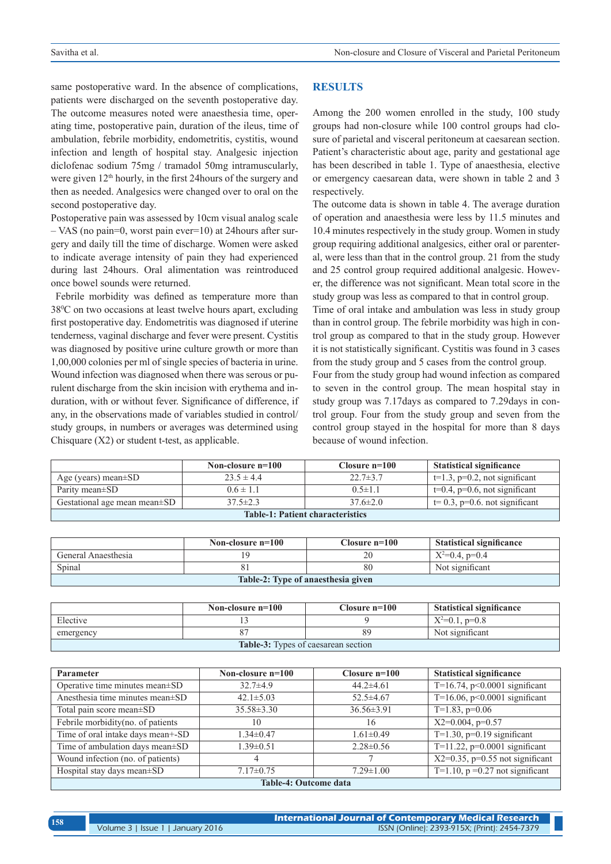same postoperative ward. In the absence of complications, patients were discharged on the seventh postoperative day. The outcome measures noted were anaesthesia time, operating time, postoperative pain, duration of the ileus, time of ambulation, febrile morbidity, endometritis, cystitis, wound infection and length of hospital stay. Analgesic injection diclofenac sodium 75mg / tramadol 50mg intramuscularly, were given 12<sup>th</sup> hourly, in the first 24 hours of the surgery and then as needed. Analgesics were changed over to oral on the second postoperative day.

Postoperative pain was assessed by 10cm visual analog scale – VAS (no pain=0, worst pain ever=10) at 24hours after surgery and daily till the time of discharge. Women were asked to indicate average intensity of pain they had experienced during last 24hours. Oral alimentation was reintroduced once bowel sounds were returned.

 Febrile morbidity was defined as temperature more than 380 C on two occasions at least twelve hours apart, excluding first postoperative day. Endometritis was diagnosed if uterine tenderness, vaginal discharge and fever were present. Cystitis was diagnosed by positive urine culture growth or more than 1,00,000 colonies per ml of single species of bacteria in urine. Wound infection was diagnosed when there was serous or purulent discharge from the skin incision with erythema and induration, with or without fever. Significance of difference, if any, in the observations made of variables studied in control/ study groups, in numbers or averages was determined using Chisquare  $(X2)$  or student t-test, as applicable.

#### **RESULTS**

Among the 200 women enrolled in the study, 100 study groups had non-closure while 100 control groups had closure of parietal and visceral peritoneum at caesarean section. Patient's characteristic about age, parity and gestational age has been described in table 1. Type of anaesthesia, elective or emergency caesarean data, were shown in table 2 and 3 respectively.

The outcome data is shown in table 4. The average duration of operation and anaesthesia were less by 11.5 minutes and 10.4 minutes respectively in the study group. Women in study group requiring additional analgesics, either oral or parenteral, were less than that in the control group. 21 from the study and 25 control group required additional analgesic. However, the difference was not significant. Mean total score in the study group was less as compared to that in control group.

Time of oral intake and ambulation was less in study group than in control group. The febrile morbidity was high in control group as compared to that in the study group. However it is not statistically significant. Cystitis was found in 3 cases from the study group and 5 cases from the control group.

Four from the study group had wound infection as compared to seven in the control group. The mean hospital stay in study group was 7.17days as compared to 7.29days in control group. Four from the study group and seven from the control group stayed in the hospital for more than 8 days because of wound infection.

|                                         | Non-closure $n=100$ | Closure $n=100$ | <b>Statistical significance</b>     |  |
|-----------------------------------------|---------------------|-----------------|-------------------------------------|--|
| Age (years) mean $\pm$ SD               | $23.5 \pm 4.4$      | $22.7 \pm 3.7$  | $t=1.3$ , $p=0.2$ , not significant |  |
| Parity mean±SD                          | $0.6 \pm 1.1$       | $0.5 \pm 1.1$   | $t=0.4$ , $p=0.6$ , not significant |  |
| Gestational age mean mean±SD            | $37.5 \pm 2.3$      | $37.6 \pm 2.0$  | $t=0.3$ , $p=0.6$ . not significant |  |
| <b>Table-1: Patient characteristics</b> |                     |                 |                                     |  |

|                                    | Non-closure $n=100$ | Closure $n=100$ | <b>Statistical significance</b> |  |  |
|------------------------------------|---------------------|-----------------|---------------------------------|--|--|
| General Anaesthesia                |                     | 20              | $X^2=0.4$ , p=0.4               |  |  |
| Spinal                             | 81                  | 80              | Not significant                 |  |  |
| Table-2: Type of anaesthesia given |                     |                 |                                 |  |  |

|                                            | Non-closure $n=100$ | Closure $n=100$ | <b>Statistical significance</b> |  |
|--------------------------------------------|---------------------|-----------------|---------------------------------|--|
| Elective                                   |                     |                 | $X^2=0.1$ , p=0.8               |  |
| emergency                                  |                     | 89              | Not significant                 |  |
| <b>Table-3:</b> Types of caesarean section |                     |                 |                                 |  |

| <b>Parameter</b>                  | Non-closure $n=100$ | Closure $n=100$  | <b>Statistical significance</b>    |  |  |
|-----------------------------------|---------------------|------------------|------------------------------------|--|--|
| Operative time minutes mean±SD    | $32.7\pm4.9$        | $44.2\pm4.61$    | T=16.74, $p<0.0001$ significant    |  |  |
| Anesthesia time minutes mean±SD   | $42.1 \pm 5.03$     | $52.5 \pm 4.67$  | T=16.06, $p<0.0001$ significant    |  |  |
| Total pain score mean±SD          | $35.58 \pm 3.30$    | $36.56 \pm 3.91$ | $T=1.83$ , $p=0.06$                |  |  |
| Febrile morbidity(no. of patients | 10                  | 16               | $X2=0.004$ , $p=0.57$              |  |  |
| Time of oral intake days mean+-SD | $1.34 \pm 0.47$     | $1.61 \pm 0.49$  | $T=1.30$ , $p=0.19$ significant    |  |  |
| Time of ambulation days mean±SD   | $1.39 \pm 0.51$     | $2.28\pm 0.56$   | T=11.22, $p=0.0001$ significant    |  |  |
| Wound infection (no. of patients) | 4                   |                  | $X2=0.35$ , p=0.55 not significant |  |  |
| Hospital stay days mean±SD        | $7.17 \pm 0.75$     | $7.29 \pm 1.00$  | T=1.10, $p = 0.27$ not significant |  |  |
| <b>Table-4: Outcome data</b>      |                     |                  |                                    |  |  |